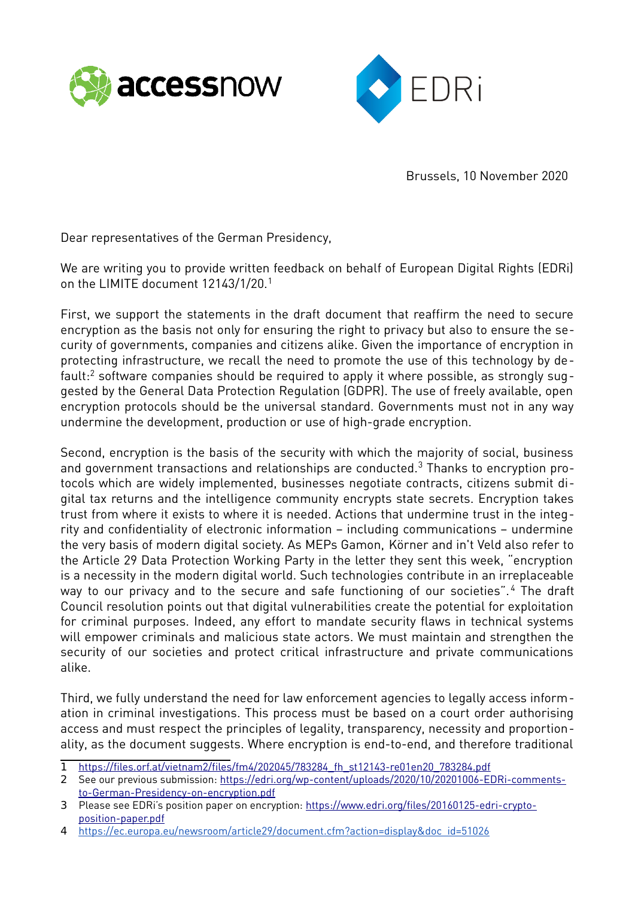



Brussels, 10 November 2020

Dear representatives of the German Presidency,

We are writing you to provide written feedback on behalf of European Digital Rights (EDRi) on the LIMITE document 12143/1/20.[1](#page-0-0)

First, we support the statements in the draft document that reaffirm the need to secure encryption as the basis not only for ensuring the right to privacy but also to ensure the security of governments, companies and citizens alike. Given the importance of encryption in protecting infrastructure, we recall the need to promote the use of this technology by default: $^2$  $^2$  software companies should be required to apply it where possible, as strongly suggested by the General Data Protection Regulation (GDPR). The use of freely available, open encryption protocols should be the universal standard. Governments must not in any way undermine the development, production or use of high-grade encryption.

Second, encryption is the basis of the security with which the majority of social, business and government transactions and relationships are conducted. $^3$  $^3$  Thanks to encryption protocols which are widely implemented, businesses negotiate contracts, citizens submit digital tax returns and the intelligence community encrypts state secrets. Encryption takes trust from where it exists to where it is needed. Actions that undermine trust in the integrity and confidentiality of electronic information – including communications – undermine the very basis of modern digital society. As MEPs Gamon, Körner and in't Veld also refer to the Article 29 Data Protection Working Party in the letter they sent this week, "encryption is a necessity in the modern digital world. Such technologies contribute in an irreplaceable way to our privacy and to the secure and safe functioning of our societies". [4](#page-0-3) The draft Council resolution points out that digital vulnerabilities create the potential for exploitation for criminal purposes. Indeed, any effort to mandate security flaws in technical systems will empower criminals and malicious state actors. We must maintain and strengthen the security of our societies and protect critical infrastructure and private communications alike.

Third, we fully understand the need for law enforcement agencies to legally access information in criminal investigations. This process must be based on a court order authorising access and must respect the principles of legality, transparency, necessity and proportionality, as the document suggests. Where encryption is end-to-end, and therefore traditional

<span id="page-0-0"></span><sup>1</sup> [https://files.orf.at/vietnam2/files/fm4/202045/783284\\_fh\\_st12143-re01en20\\_783284.pdf](https://files.orf.at/vietnam2/files/fm4/202045/783284_fh_st12143-re01en20_783284.pdf)

<span id="page-0-1"></span><sup>2</sup> See our previous submission: [https://edri.org/wp-content/uploads/2020/10/20201006-EDRi-comments](https://edri.org/wp-content/uploads/2020/10/20201006-EDRi-comments-to-German-Presidency-on-encryption.pdf)[to-German-Presidency-on-encryption.pdf](https://edri.org/wp-content/uploads/2020/10/20201006-EDRi-comments-to-German-Presidency-on-encryption.pdf)

<span id="page-0-2"></span><sup>3</sup> Please see EDRi's position paper on encryption: [https://www.edri.org/files/20160125-edri-crypto](https://www.edri.org/files/20160125-edri-crypto-position-paper.pdf)[position-paper.pdf](https://www.edri.org/files/20160125-edri-crypto-position-paper.pdf)

<span id="page-0-3"></span><sup>4</sup> [https://ec.europa.eu/newsroom/article29/document.cfm?action=display&doc\\_id=51026](https://ec.europa.eu/newsroom/article29/document.cfm?action=display&doc_id=51026)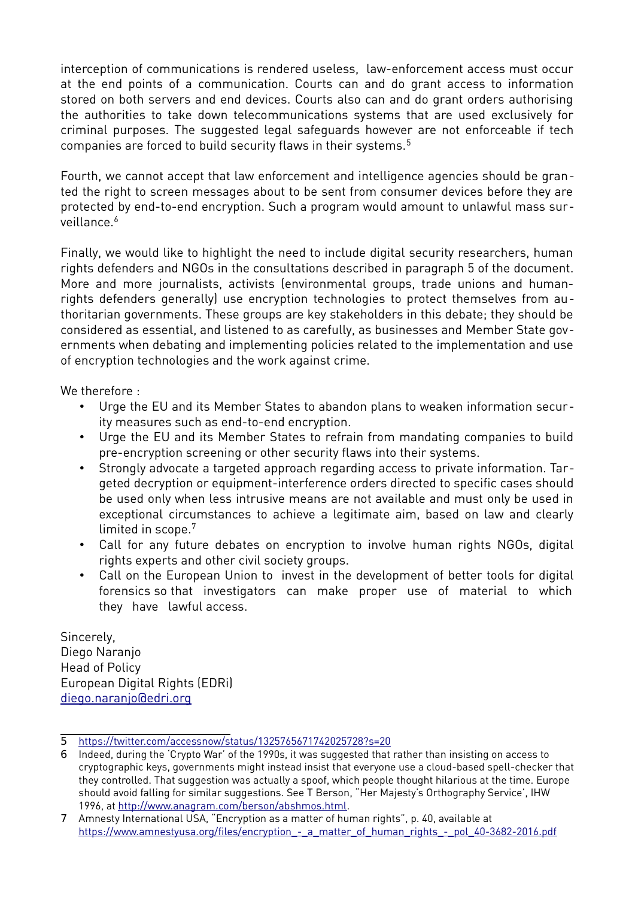interception of communications is rendered useless, law-enforcement access must occur at the end points of a communication. Courts can and do grant access to information stored on both servers and end devices. Courts also can and do grant orders authorising the authorities to take down telecommunications systems that are used exclusively for criminal purposes. The suggested legal safeguards however are not enforceable if tech companies are forced to build security flaws in their systems.<sup>[5](#page-1-0)</sup>

Fourth, we cannot accept that law enforcement and intelligence agencies should be granted the right to screen messages about to be sent from consumer devices before they are protected by end-to-end encryption. Such a program would amount to unlawful mass sur-veillance<sup>[6](#page-1-1)</sup>

Finally, we would like to highlight the need to include digital security researchers, human rights defenders and NGOs in the consultations described in paragraph 5 of the document. More and more journalists, activists (environmental groups, trade unions and humanrights defenders generally) use encryption technologies to protect themselves from authoritarian governments. These groups are key stakeholders in this debate; they should be considered as essential, and listened to as carefully, as businesses and Member State governments when debating and implementing policies related to the implementation and use of encryption technologies and the work against crime.

We therefore :

- Urge the EU and its Member States to abandon plans to weaken information security measures such as end-to-end encryption.
- Urge the EU and its Member States to refrain from mandating companies to build pre-encryption screening or other security flaws into their systems.
- Strongly advocate a targeted approach regarding access to private information. Targeted decryption or equipment-interference orders directed to specific cases should be used only when less intrusive means are not available and must only be used in exceptional circumstances to achieve a legitimate aim, based on law and clearly limited in scope.[7](#page-1-2)
- Call for any future debates on encryption to involve human rights NGOs, digital rights experts and other civil society groups.
- Call on the European Union to invest in the development of better tools for digital forensics so that investigators can make proper use of material to which they have lawful access.

Sincerely, Diego Naranjo Head of Policy European Digital Rights (EDRi) [diego.naranjo@edri.org](mailto:diego.naranjo@edri.org)

<span id="page-1-0"></span><sup>5</sup><https://twitter.com/accessnow/status/1325765671742025728?s=20>

<span id="page-1-1"></span><sup>6</sup> Indeed, during the 'Crypto War' of the 1990s, it was suggested that rather than insisting on access to cryptographic keys, governments might instead insist that everyone use a cloud-based spell-checker that they controlled. That suggestion was actually a spoof, which people thought hilarious at the time. Europe should avoid falling for similar suggestions. See T Berson, "Her Majesty's Orthography Service', IHW 1996, at <http://www.anagram.com/berson/abshmos.html>.

<span id="page-1-2"></span><sup>7</sup> Amnesty International USA, "Encryption as a matter of human rights", p. 40, available at https://www.amnestyusa.org/files/encryption - a matter of human rights - pol 40-3682-2016.pdf